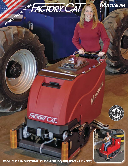

**FAMILY OF INDUSTRIAL CLEANING EQUIPMENT (21**- **- 55**-**)**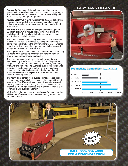*Factory Cat's Industrial* strength equipment has earned a reputation for exceptional toughness and cleaning performance. The new *MAGNUM* combines our historic cleaning ability with improved agility, and operator productivity.

*Factory Cats* thrive in metal fabrication facilities, car dealerships, machine shops, food / beverage packaging and distribution, or in any application where customers demand much of their investments.

The *MAGNUM* is available with a large battery package and 30-gallon tanks, which reduce costly down time. There are multiple scrub paths available to better match your needs, in both disk and cylindrical styles.

The *"Disk"* machines offer nearly 35% more power than other machines. The deck is protected by steel guards and large polyurethane rollers keep the unit from marking walls. Brushes are driven by two powerful motors, and are gimbal-mounted, to improve cleaning on uneven floors.

The *"Cylindrical"* machines have the added benefit of sweeping up debris while scrubbing. This may eliminate the need to presweep an area, increasing productivity.

The brush pressure is automatically maintained at one of five settings by the *Central Command II*. The LCD provides diagnostics and hour meters, covering *"transport"*, *"scrubbing", "vacuum"* and *"key-on"*. The LCD also gives the operator a real time view of systems running, battery level and scrubbing pressure. If the batteries become too discharged, the unit automatically shuts down systems to allow the machine to return to the charge station.

The heavy steel construction, oversized motors, extra thick polyurethane tanks and stainless steel fasteners provide a solid foundation. The *MAGNUM* has a powerful, sealed transaxle for climbing steep ramps and heavy duty tires to withstand harsh chemicals. The four point stance and oversized wheels allow it to remain stable over rough terrain.

While offering the toughness you are looking for, your operators will find the *MAGNUM* easy to maneuver into tight areas, and simple to service.

# **EASY TANK CLEAN UP**



### **Productivity Comparison** *(square feet/hour)*



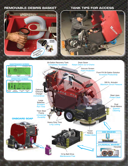# **REMOVABLE DEBRIS BASKET TANK TIPS FOR ACCESS**